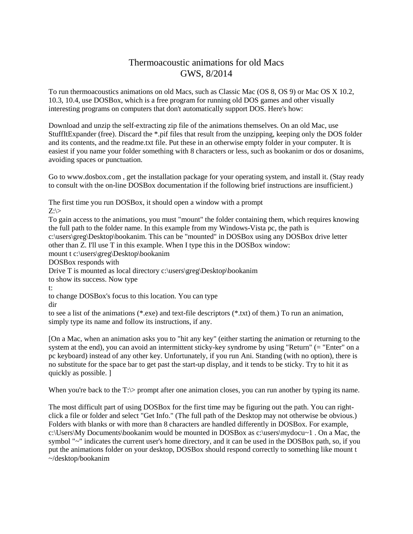## Thermoacoustic animations for old Macs GWS, 8/2014

To run thermoacoustics animations on old Macs, such as Classic Mac (OS 8, OS 9) or Mac OS X 10.2, 10.3, 10.4, use DOSBox, which is a free program for running old DOS games and other visually interesting programs on computers that don't automatically support DOS. Here's how:

Download and unzip the self-extracting zip file of the animations themselves. On an old Mac, use StuffItExpander (free). Discard the \*.pif files that result from the unzipping, keeping only the DOS folder and its contents, and the readme.txt file. Put these in an otherwise empty folder in your computer. It is easiest if you name your folder something with 8 characters or less, such as bookanim or dos or dosanims, avoiding spaces or punctuation.

Go to www.dosbox.com , get the installation package for your operating system, and install it. (Stay ready to consult with the on-line DOSBox documentation if the following brief instructions are insufficient.)

The first time you run DOSBox, it should open a window with a prompt  $Z:\rangle$ 

To gain access to the animations, you must "mount" the folder containing them, which requires knowing the full path to the folder name. In this example from my Windows-Vista pc, the path is c:\users\greg\Desktop\bookanim. This can be "mounted" in DOSBox using any DOSBox drive letter other than Z. I'll use T in this example. When I type this in the DOSBox window: mount t c:\users\greg\Desktop\bookanim DOSBox responds with Drive T is mounted as local directory c:\users\greg\Desktop\bookanim to show its success. Now type t: to change DOSBox's focus to this location. You can type dir to see a list of the animations (\*.exe) and text-file descriptors (\*.txt) of them.) To run an animation,

simply type its name and follow its instructions, if any.

[On a Mac, when an animation asks you to "hit any key" (either starting the animation or returning to the system at the end), you can avoid an intermittent sticky-key syndrome by using "Return" (= "Enter" on a pc keyboard) instead of any other key. Unfortunately, if you run Ani. Standing (with no option), there is no substitute for the space bar to get past the start-up display, and it tends to be sticky. Try to hit it as quickly as possible. ]

When you're back to the T: $\gt$  prompt after one animation closes, you can run another by typing its name.

The most difficult part of using DOSBox for the first time may be figuring out the path. You can rightclick a file or folder and select "Get Info." (The full path of the Desktop may not otherwise be obvious.) Folders with blanks or with more than 8 characters are handled differently in DOSBox. For example, c:\Users\My Documents\bookanim would be mounted in DOSBox as c:\users\mydocu~1. On a Mac, the symbol "~" indicates the current user's home directory, and it can be used in the DOSBox path, so, if you put the animations folder on your desktop, DOSBox should respond correctly to something like mount t ~/desktop/bookanim